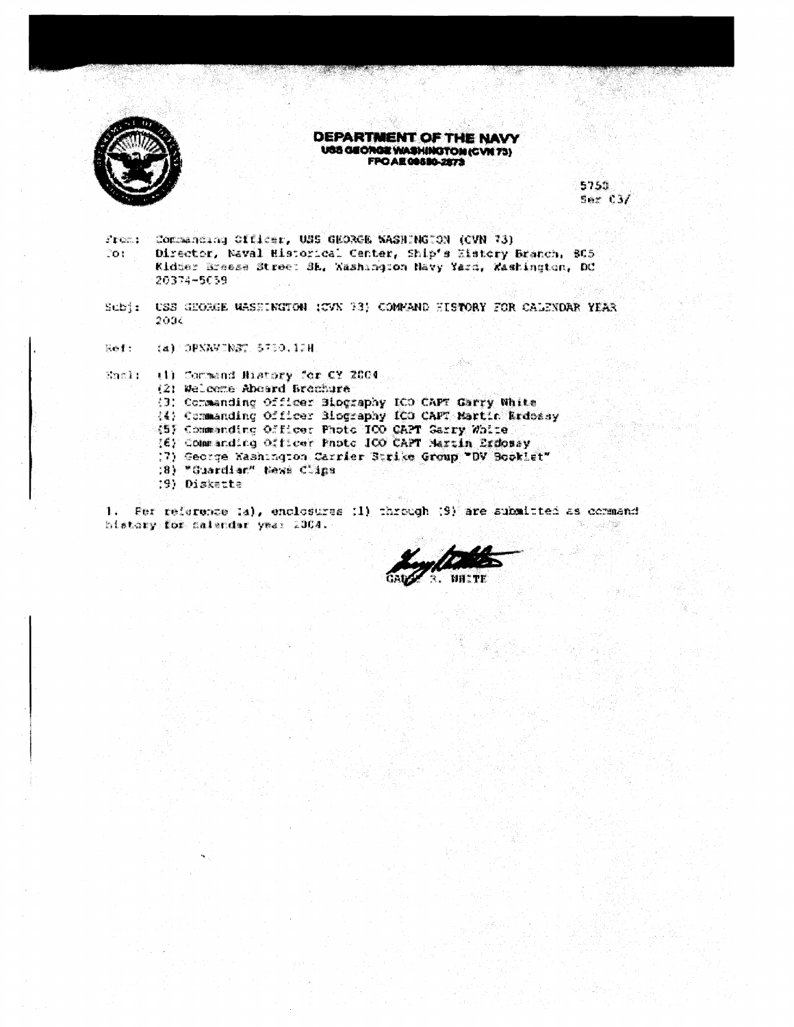

# **DEPARTMENT OF THE NAVY**<br>USS GEORGE WASHINGTON (CVN 73) **FPO AE 00580-2673**

5753.  $Ser C3/$ 

Commanding Officer, USS GEORGE WASHINGTON (CVN 73)  $x$  real  $-$ Director, Naval Historical Center, Ship's Eistory Branch, 805 Cot. Kidder Breese Street SE, Washington Navy Yard, Washington, DC. 20374-5059

Subj: USS GEORGE WASSINGTON (CVN 33) COMMAND HISTORY FOR CALENDAR YEAR 2004

(a) DPNAVINNT 5750.12H Ref:

 $x^2 + 2004$  **Someond History for CY 2004** 

**?2** 1 *@i%:m::-a* **&ht:+l'd sr&~":,fll\*@** 

 $\frac{1}{2}$ : Ccrmanding Officer Biography ICO CAPT Garry White

t4t **C;.xwr:dlncg fZLims 3frsgsaphy f.423** Chi': **tfart.:f. &fds&sy** 

.E!i:l **P:xrassrSirc: D"f** lmr **F"9ot.s; IW** *C&R* **&:ry** #bL=e

**:&j sotw** rr.4:~~ **:~:sr Pwt~ JW CAPT .%t\*"uh 2gett@re&y** . -t.

.7) George Kashington Carrier Strike Group "DV Booklet"

**;13) "P~ardl aii" Ca.4~ C3dp.i** 

**;3)** *Di~kaztz* 

1. Fer reference (a), enclosures (1) through (9) are submitted as command history for calendar year 2004. a Pilip

ИH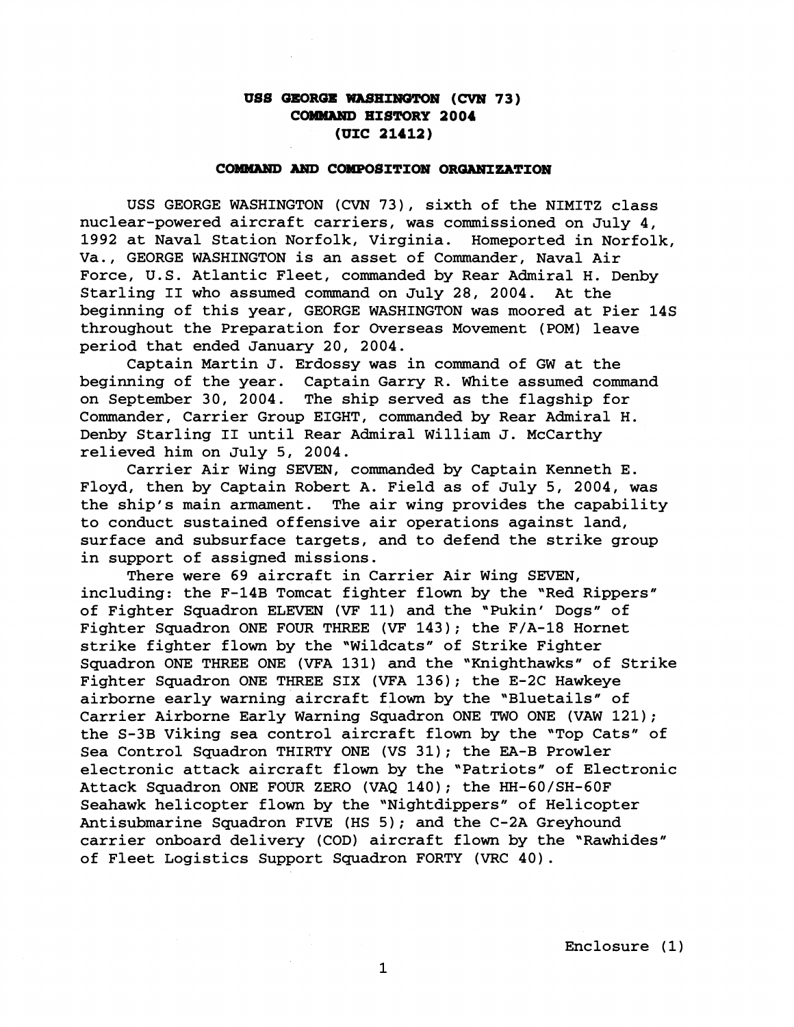## **USS GEORGE WASHINGTON (CVN 73) COMMAND HISTORY 2004 (UIC 21412)**

#### **COMMZWD AND COMPOSITION ORGANIZATION**

USS GEORGE WASHINGTON (CVN 73), sixth of the NIMITZ class nuclear-powered aircraft carriers, was commissioned on July  $4$ , 1992 at Naval Station Norfolk, Virginia. Homeported in Norfolk, Va., GEORGE WASHINGTON is an asset of Commander, Naval Air Force, U.S. Atlantic Fleet, commanded by Rear Admiral H. Denby Starling I1 who assumed command on July 28, 2004. At the beginning of this year, GEORGE WASHINGTON was moored at Pier 14s throughout the Preparation for Overseas Movement (POM) leave period that ended January 20, 2004.

Captain Martin J. Erdossy was in command of GW at the beginning of the year. Captain Garry R. White assumed command on September 30, 2004. The ship served as the flagship for Commander, Carrier Group EIGHT, commanded by Rear Admiral H. Denby Starling I1 until Rear Admiral William J. McCarthy relieved him on July 5, 2004.

Carrier Air Wing SEVEN, commanded by Captain Kenneth E. Floyd, then by Captain Robert A. Field as of July 5, 2004, was the ship's main armament. The air wing provides the capability to conduct sustained offensive air operations against land, surface and subsurface targets, and to defend the strike group in support of assigned missions.

There were 69 aircraft in Carrier Air Wing SEVEN, including: the F-14B Tomcat fighter flown by the "Red Rippers" of Fighter Squadron ELEVEN (VF 11) and the 'Pukin' Dogs" of Fighter Squadron ONE FOUR THREE (VF 143); the F/A-18 Hornet strike fighter flown by the 'Wildcats" of Strike Fighter Squadron ONE THREE ONE (VFA 131) and the "Knighthawks" of Strike Fighter Squadron ONE THREE SIX (VFA 136); the E-2C Hawkeye airborne early warning aircraft flown by the "Bluetails" of Carrier Airborne Early warning Squadron ONE TWO ONE (VAW 121); the S-3B Viking sea control aircraft flown by the "Top Cats" of Sea Control Squadron THIRTY ONE (VS 31); the EA-B Prowler electronic attack aircraft flown by the "Patriots" of Electronic Attack Squadron ONE FOUR ZERO (VAQ 140); the HH-60/SH-60F Seahawk helicopter flown by the "Nightdippers" of Helicopter Antisubmarine Squadron FIVE (HS 5); and the C-2A Greyhound carrier onboard delivery (COD) aircraft flown by the "Rawhides" of Fleet Logistics Support Squadron FORTY **(VRC** 40).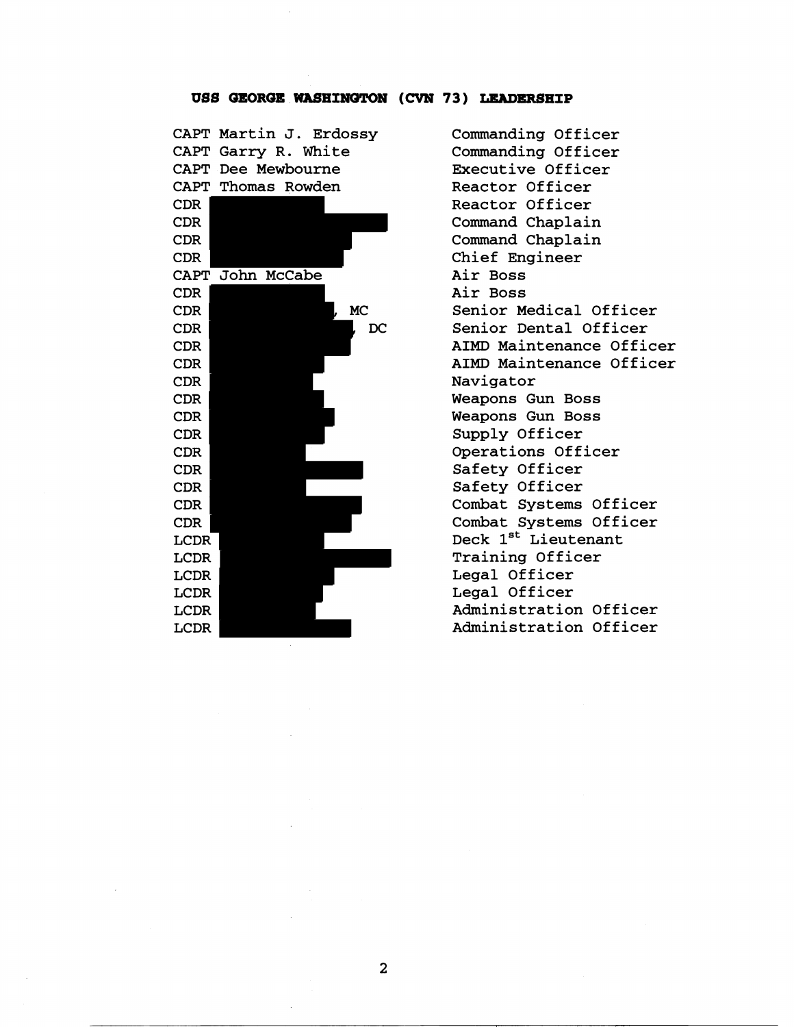| CAPT Martin J. Erdossy       |  |
|------------------------------|--|
| CAPT Garry R. White          |  |
| CAPT Dee Mewbourne           |  |
| <b>CAPT</b><br>Thomas Rowden |  |
| <b>CDR</b>                   |  |
| <b>CDR</b>                   |  |
| <b>CDR</b>                   |  |
| CDR                          |  |
| John McCabe<br><b>CAPT</b>   |  |
| CDR                          |  |
| MC<br>CDR                    |  |
| <b>CDR</b><br>DC             |  |
| <b>CDR</b>                   |  |
| <b>CDR</b>                   |  |
| <b>CDR</b>                   |  |
| <b>CDR</b>                   |  |
| <b>CDR</b>                   |  |
| <b>CDR</b>                   |  |
| <b>CDR</b>                   |  |
| CDR                          |  |
| CDR                          |  |
| <b>CDR</b>                   |  |
| <b>CDR</b>                   |  |
| LCDR                         |  |
| LCDR                         |  |
| LCDR                         |  |
| LCDR                         |  |
| LCDR                         |  |
| LCDR                         |  |

Commanding Officer Commanding Officer Executive Officer Reactor Officer Reactor Officer Command Chaplain Command Chaplain Chief Engineer Air Boss Air Boss Senior Medical Officer Senior Dental Officer AIMD Maintenance Officer AIMD Maintenance Officer Navigator Weapons Gun Boss Weapons Gun Boss Supply Officer Operations Officer Safety Officer Safety Officer Combat Systems Officer Combat Systems Officer Deck **lst** Lieutenant Training Officer Legal Officer Legal Officer Administration Officer Administration Officer

## USS GEORGE WASHINGTON (CVN 73) LEADERSHIP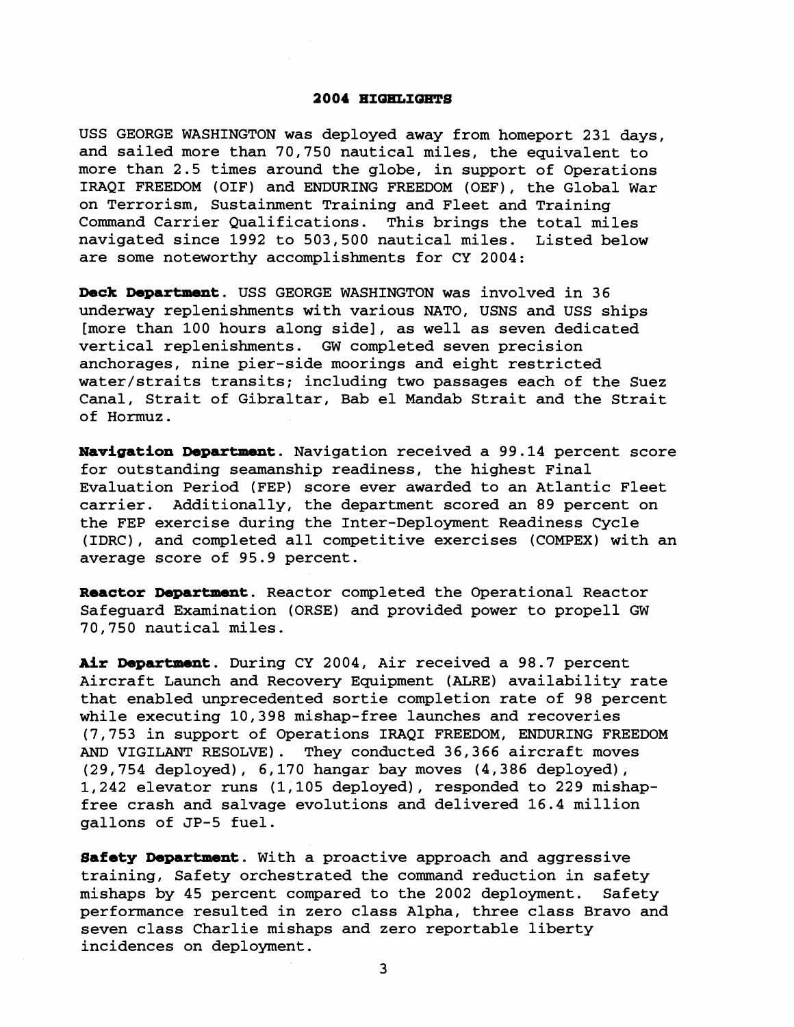#### **2004 HIGHLIGHTS**

USS GEORGE WASHINGTON was deployed away from homeport 231 days, and sailed more than 70,750 nautical miles, the equivalent to more than 2.5 times around the globe, in support of Operations IRAQI FREEDOM (OIF) and ENDURING FREEDOM (OEF), the Global War on Terrorism, Sustainment Training and Fleet and Training Command Carrier Qualifications. This brings the total miles navigated since 1992 to 503,500 nautical miles. Listed below are some noteworthy accomplishments for CY 2004:

**Deck Department.** USS GEORGE WASHINGTON was involved in 36 underway replenishments with various NATO, USNS and USS ships [more than 100 hours along side], as well as seven dedicated vertical replenishments. GW completed seven precision anchorages, nine pier-side moorings and eight restricted water/straits transits; including two passages each of the Suez Canal, Strait of Gibraltar, Bab el Mandab Strait and the Strait of Hormuz.

**Navigation Department**. Navigation received a 99.14 percent score for outstanding seamanship readiness, the highest Final Evaluation Period (FEP) score ever awarded to an Atlantic Fleet carrier. Additionally, the department scored an 89 percent on the FEP exercise during the Inter-Deployment Readiness Cycle (IDRC), and completed all competitive exercises (COMPEX) with an average score of 95.9 percent.

**Reactor Department.** Reactor completed the Operational Reactor Safeguard Examination (ORSE) and provided power to propel1 GW 70,750 nautical miles.

**Air Department.** During CY 2004, Air received a 98.7 percent Aircraft Launch and Recovery Equipment (ALRE) availability rate that enabled unprecedented sortie completion rate of 98 percent while executing 10,398 mishap-free launches and recoveries (7,753 in support of Operations IRAQI FREEDOM, ENDURING FREEDOM AND VIGILANT RESOLVE). They conducted 36,366 aircraft moves (29,754 deployed), 6,170 hangar bay moves (4,386 deployed), 1,242 elevator runs (1,105 deployed), responded to 229 mishapfree crash and salvage evolutions and delivered 16.4 million gallons of JP-5 fuel.

**Safety Department.** With a proactive approach and aggressive training, Safety orchestrated the command reduction in safety mishaps by 45 percent compared to the 2002 deployment. Safety performance resulted in zero class Alpha, three class Bravo and seven class Charlie mishaps and zero reportable liberty incidences on deployment.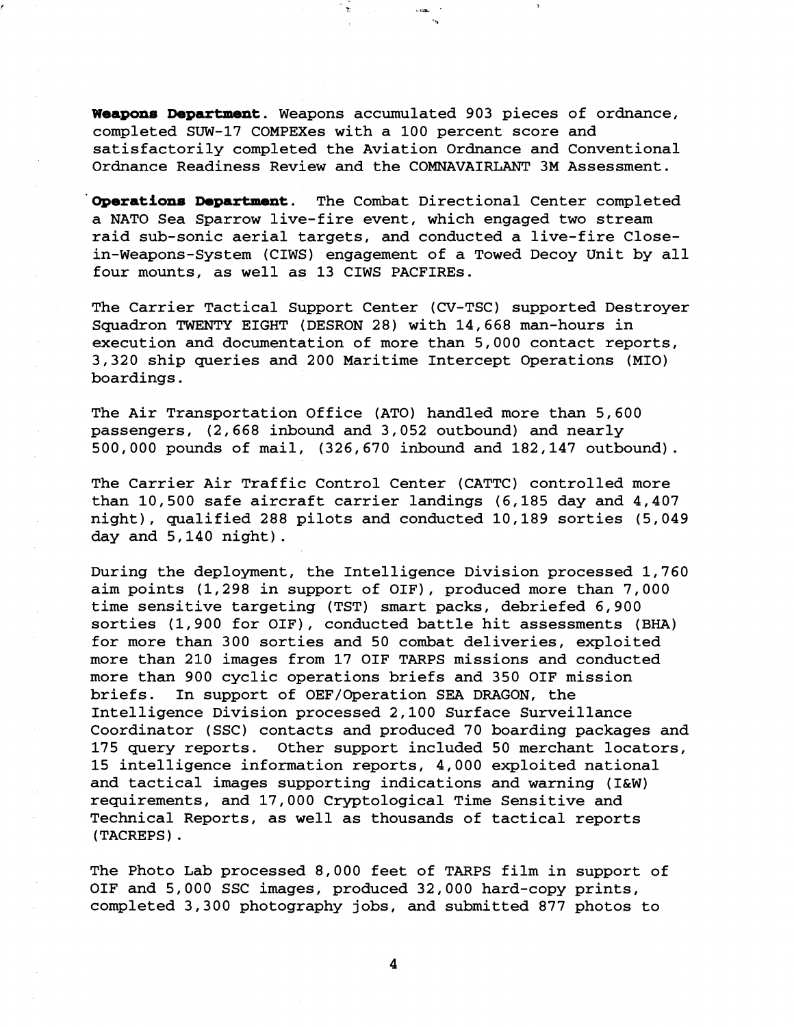**Weapons Departmemt.** Weapons accumulated 903 pieces of ordnance, completed SUW-17 COMPEXes with a 100 percent score and satisfactorily completed the Aviation Ordnance and Conventional Ordnance Readiness Review and the COMNAVAIRLANT 3M Assessment.

**'Operations Department.** The Combat Directional Center completed a NATO Sea Sparrow live-fire event, which engaged two stream raid sub-sonic aerial targets, and conducted a live-fire Closein-Weapons-System (CIWS) engagement of a Towed Decoy Unit by all four mounts, as well as 13 CIWS PACFIREs.

The Carrier Tactical Support Center (CV-TSC) supported Destroyer Squadron TWENTY EIGHT (DESRON 28) with 14,668 man-hours in execution and documentation of more than 5,000 contact reports, 3,320 ship queries and 200 Maritime Intercept Operations (MIO) boardings.

The Air Transportation Office (ATO) handled more than 5,600 passengers, (2,668 inbound and 3,052 outbound) and nearly 500,000 pounds of mail, (326,670 inbound and 182,147 outbound).

The Carrier Air Traffic Control Center (CATTC) controlled more than 10,500 safe aircraft carrier landings (6,185 day and 4,407 night), qualified 288 pilots and conducted 10,189 sorties (5,049 day and 5,140 night) .

During the deployment, the Intelligence Division processed 1,760 aim points (1,298 in support of OIF), produced more than 7,000 time sensitive targeting (TST) smart packs, debriefed 6,900 sorties (1,900 for OIF), conducted battle hit assessments **(BHA)**  for more than 300 sorties and 50 combat deliveries, exploited more than 210 images from 17 OIF TARPS missions and conducted more than 900 cyclic operations briefs and 350 OIF mission briefs. In support of OEF/Operation SEA DRAGON, the Intelligence Division processed 2,100 Surface Surveillance Coordinator (SSC) contacts and produced 70 boarding packages and 175 query reports. Other support included 50 merchant locators, 15 intelligence information reports, 4,000 exploited national and tactical images supporting indications and warning (I&W) requirements, and 17,000 Cryptological Time Sensitive and Technical Reports, as well as thousands of tactical reports (TACREPS) .

The Photo Lab processed 8,000 feet of TARPS film in support of OIF and 5,000 SSC images, produced 32,000 hard-copy prints, completed 3,300 photography jobs, and submitted 877 photos to

4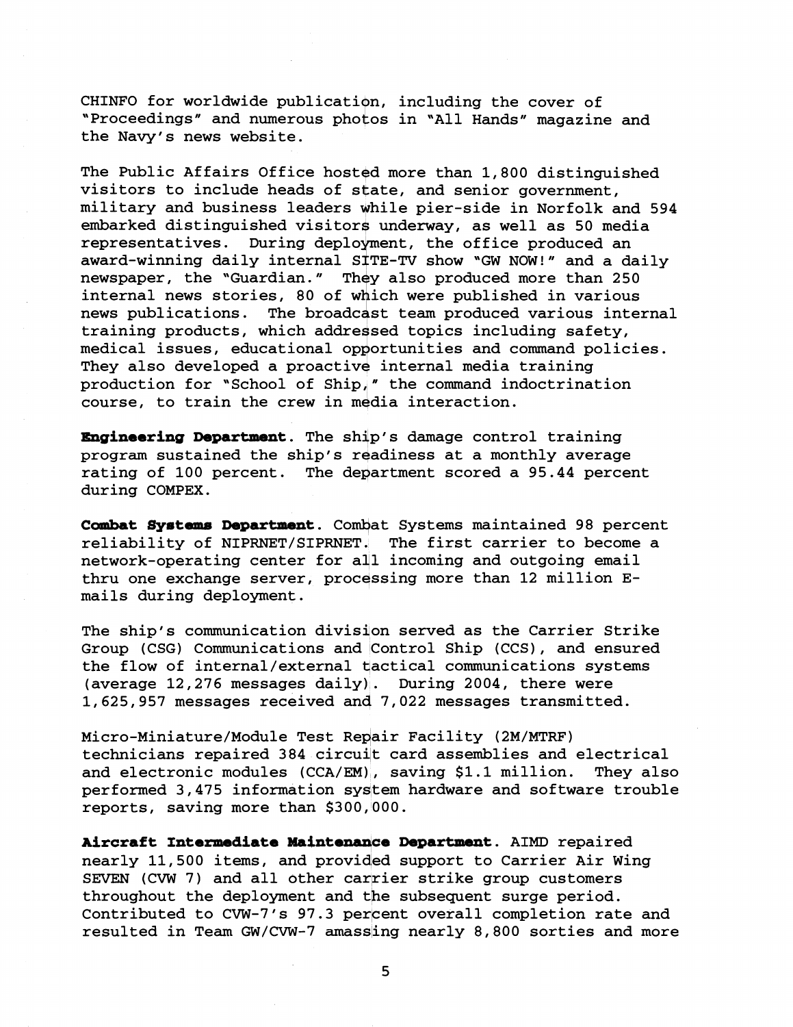CHINFO for worldwide publication, including the cover of "Proceedings" and numerous photos in "All Hands" magazine and the Navy's news website.

The Public Affairs Office hosted more than 1,800 distinguished visitors to include heads of state, and senior government, military and business leaders yhile pier-side in Norfolk and 594 embarked distinguished visitors underway, as well as 50 media representatives. During deployment, the office produced an award-winning daily internal SITE-TV show 'GW NOW!" and a daily newspaper, the "Guardian." They also produced more than 250 internal news stories, 80 of which were published in various news publications. The broadcast team produced various internal training products, which addressed topics including safety, medical issues, educational opportunities and command policies. They also developed a proactive internal media training production for "School of Ship," the command indoctrination course, to train the crew in media interaction.

**Engineering Department**. The ship's damage control training program sustained the ship's readiness at a monthly average rating of 100 percent. The department scored a 95.44 percent during COMPEX.

Combat Systems Department. Combat Systems maintained 98 percent reliability of NIPRNET/SIPRNET. The first carrier to become a network-operating center for all incoming and outgoing email thru one exchange server, processing more than 12 million Emails during deployment.

The ship's communication division served as the Carrier Strike Group (CSG) Communications and Control Ship (CCS), and ensured the flow of internal/external tactical communications systems (average 12,276 messages daily). During 2004, there were 1,625,957 messages received anq 7,022 messages transmitted.

Micro-Miniature/Module Test Repair Facility (2M/MTRF) technicians repaired 384 circuilt card assemblies and electrical and electronic modules (CCA/EM), saving \$1.1 million. They also performed 3,475 information system hardware and software trouble reports, saving more than \$300,000.

Aircraft Intermediate Maintenance Department. AIMD repaired nearly 11,500 items, and provided support to Carrier Air Wing SEVEN (CVW 7) and all other carrier strike group customers throughout the deployment and the subsequent surge period. Contributed to CVW-7's 97.3 percent overall completion rate and resulted in Team GW/CVW-7 amassling nearly 8,800 sorties and more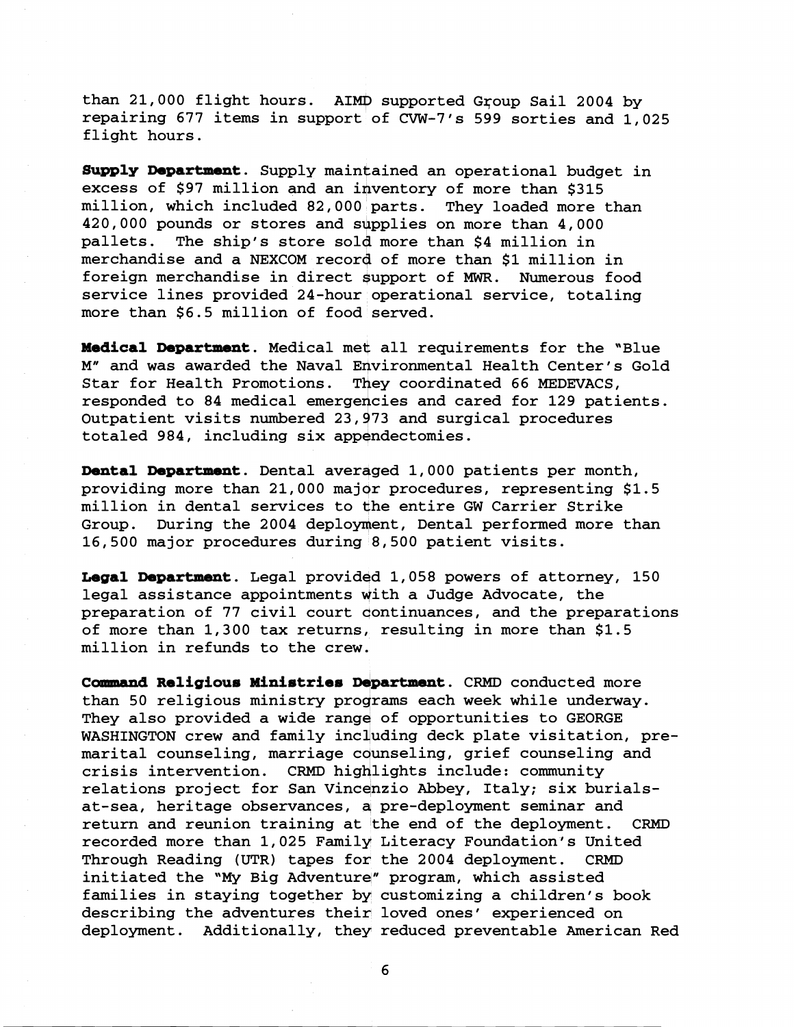than 21,000 flight hours. AIMD supported Group Sail 2004 by repairing 677 items in support of CVW-7's 599 sorties and 1,025 flight hours.

**Supply Department.** Supply maintained an operational budget in excess of \$97 million and an inventory of more than \$315 million, which included 82,000 parts. They loaded more than 420,000 pounds or stores and supplies on more than 4,000 pallets. The ship's store sold more than \$4 million in merchandise and a NEXCOM record of more than \$1 million in foreign merchandise in direct \$upport of **MWR.** Numerous food service lines provided 24-hour operational service, totaling more than \$6.5 million of food served.

**Medical Department.** Medical met all requirements for the "Blue M" and was awarded the Naval Environmental Health Center's Gold Star for Health Promotions. They coordinated 66 MEDEVACS, responded to 84 medical emergencies and cared for 129 patients. Outpatient visits numbered 23,473 and surgical procedures totaled 984, including six appendectomies.

**Dental Department**. Dental averaged 1,000 patients per month, providing more than 21,000 major procedures, representing \$1.5 million in dental services to qhe entire GW Carrier Strike Group. During the 2004 deployment, Dental performed more than 16,500 major procedures during 8,500 patient visits.

Legal Department. Legal provided 1,058 powers of attorney, 150 legal assistance appointments with a Judge Advocate, the preparation of 77 civil court dontinuances, and the preparations of more than 1,300 tax returns, resulting in more than \$1.5 million in refunds to the crew.

**Comnad Religious Ministries Department.** CRMD conducted more than 50 religious ministry programs each week while underway. They also provided a wide range of opportunities to GEORGE WASHINGTON crew and family including deck plate visitation, premarital counseling, marriage counseling, grief counseling and crisis intervention. CRMD higqlights include: community relations project for San Vincenzio Abbey, Italy; six burialsat-sea, heritage observances, **a** pre-deployment seminar and return and reunion training at the end of the deployment. CRMD recorded more than 1,025 Family Literacy Foundation's United Through Reading (UTR) tapes for the 2004 deployment. CRMD initiated the "My Big Adventure" program, which assisted families in staying together by customizing a children's book describing the adventures their loved ones' experienced on deployment. Additionally, they reduced preventable American Red

6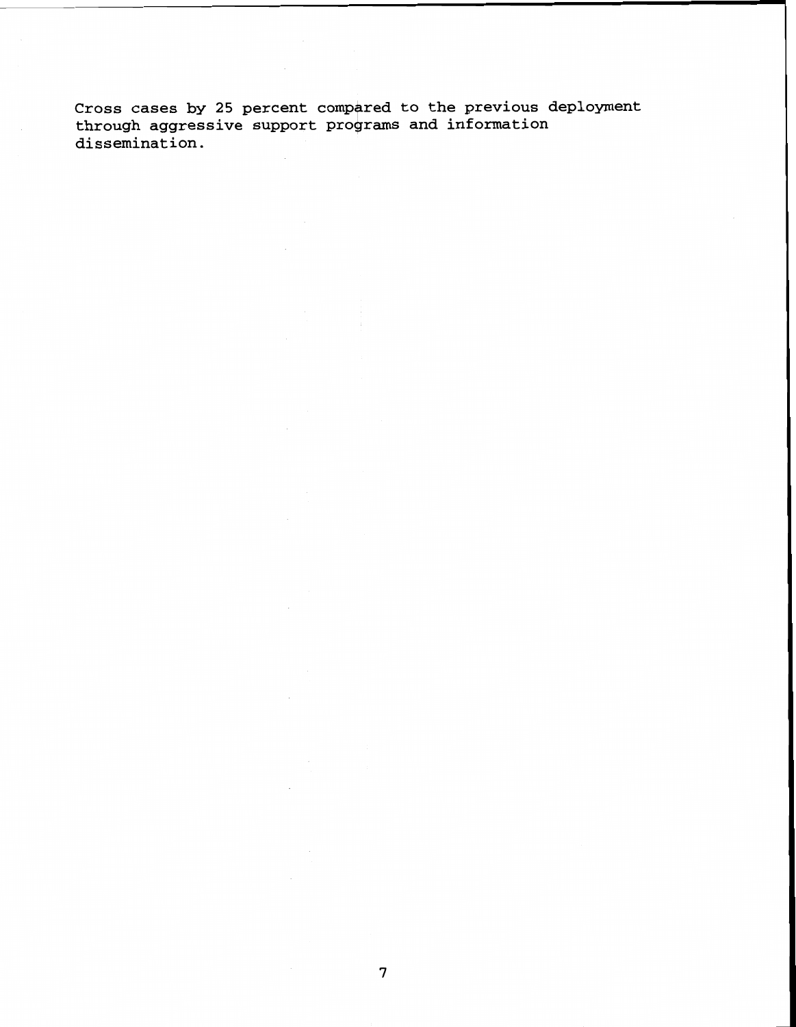**Cross cases by 25 percent compared to the previous deployment**  through aggressive support programs and information **dissemination.**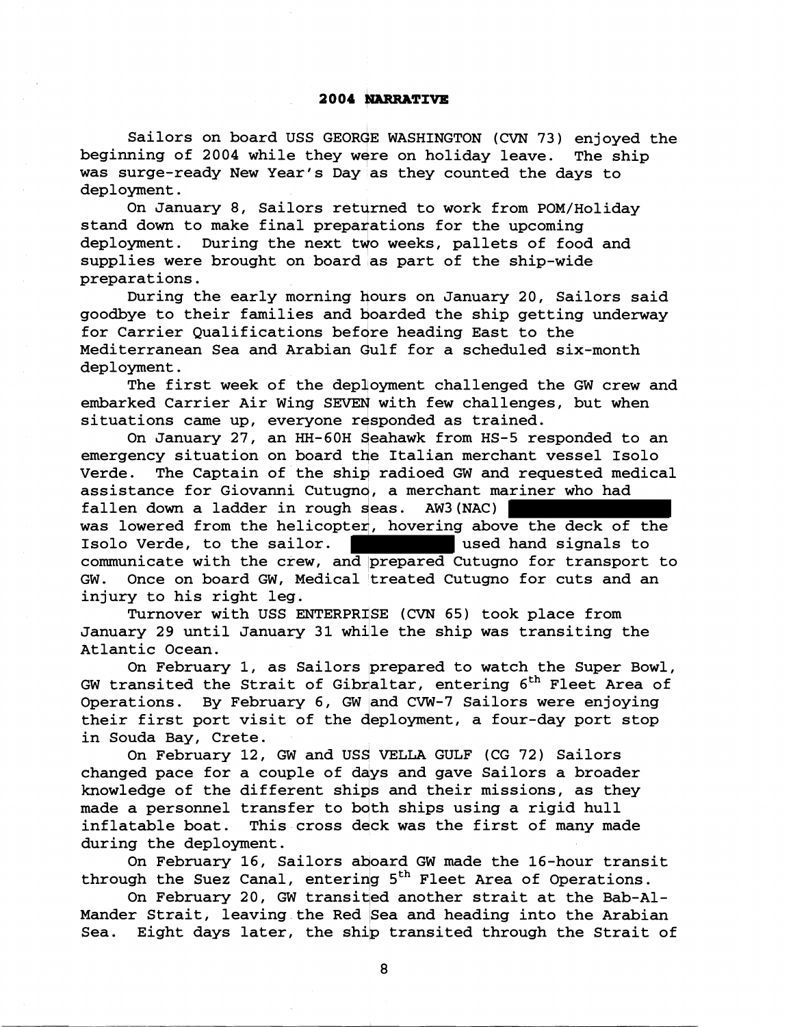## **2004 NARRATIVE**

Sailors on board USS GEORGE WASHINGTON (CVN 73) enjoyed the beginning of 2004 while they were on holiday leave. The ship was surge-ready New Year's Day as they counted the days to deployment.

On January 8, Sailors returned to work from POM/Holiday stand down to make final preparations for the upcoming deployment. During the next two weeks, pallets of food and supplies were brought on board as part of the ship-wide preparations.

During the early morning hours on January 20, Sailors said goodbye to their families and boarded the ship getting underway for Carrier Qualifications befdre heading East to the Mediterranean Sea and Arabian dulf for a scheduled six-month deployment.

The first week of the deployment challenged the GW crew and embarked Carrier Air Wing SEVEN with few challenges, but when situations came up, everyone responded as trained.

On January 27, an HH-60H Seahawk from HS-5 responded to an emergency situation on board the Italian merchant vessel Isolo Verde. The Captain of the ship radioed GW and requested medical assistance for Giovanni Cutugnd, a merchant mariner who had fallen down a ladder in rough seas. AW3(NAC) was lowered from the helicopter, hovering above the deck of the Isolo Verde, to the sailor. The same state of the same signals to communicate with the crew, and prepared Cutugno for transport to GW. Once on board GW, Medical treated Cutugno for cuts and an injury to his right leg.

Turnover with USS ENTERPRISE (CVN 65) took place from January 29 until January 31 while the ship was transiting the Atlantic Ocean.

On February 1, as Sailors prepared to watch the Super Bowl, GW transited the Strait of Gibraltar, entering  $6<sup>th</sup>$  Fleet Area of Operations. By February 6, GW and CVW-7 Sailors were enjoying their first port visit of the qeployment, a four-day port stop in Souda Bay, Crete.

On February 12, GW and US^ **VELLA** GULF (CG 72) Sailors changed pace for a couple of ddys and gave Sailors a broader knowledge of the different ships and their missions, as they made a personnel transfer to both ships using a rigid hull inflatable boat. This cross deck was the first of many made during the deployment.

On February 16, Sailors aboard GW made the 16-hour transit through the Suez Canal, entering 5<sup>th</sup> Fleet Area of Operations.

On February 20, GW transited another strait at the Bab-Al-Mander Strait, leaving the Red Sea and heading into the Arabian Sea. Eight days later, the ship transited through the Strait of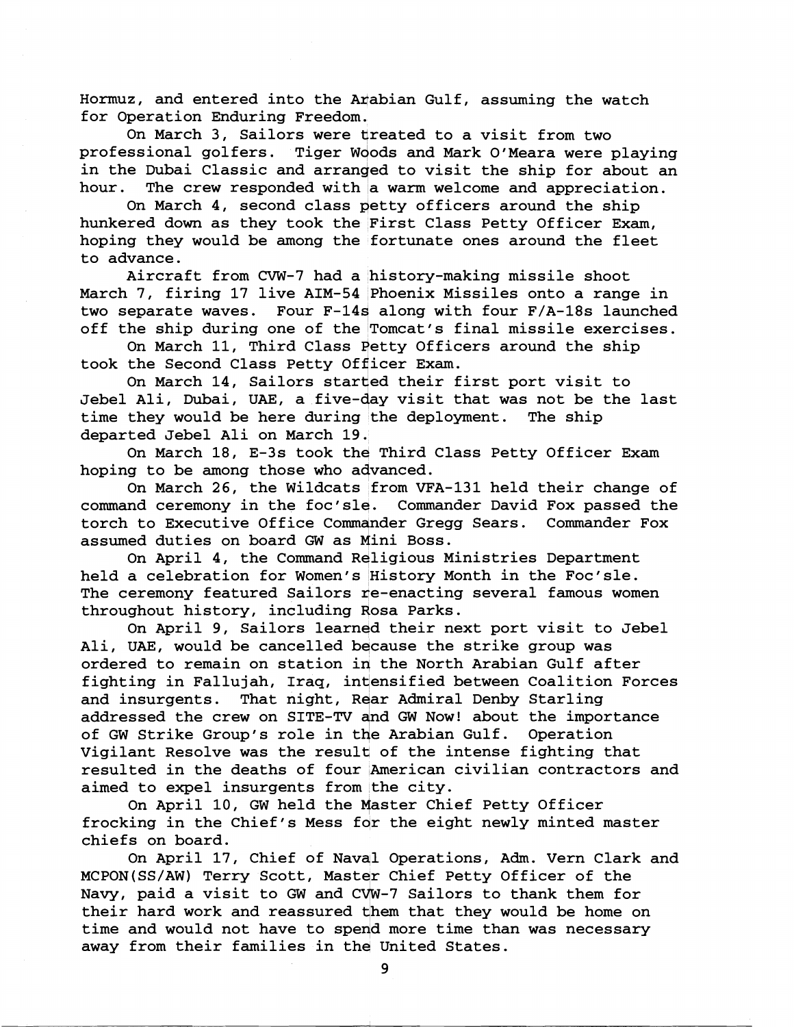Hormuz, and entered into the Arabian Gulf, assuming the watch for Operation Enduring Freedom.

On March 3, Sailors were treated to a visit from two professional golfers. Tiger Woods and Mark O'Meara were playing in the Dubai Classic and arranged to visit the ship for about an hour. The crew responded with a warm welcome and appreciation.

On March 4, second class petty officers around the ship hunkered down as they took the First Class Petty Officer Exam, hoping they would be among the fortunate ones around the fleet to advance.

Aircraft from CVW-7 had a history-making missile shoot March 7, firing 17 live AIM-54 Phoenix Missiles onto a range in two separate waves. Four F-144 along with four F/A-18s launched off the ship during one of the Tomcat's final missile exercises.

On March 11, Third Class Petty Officers around the ship took the Second Class Petty Officer Exam.

On March 14, Sailors started their first port visit to Jebel Ali, Dubai, UAE, a five-day visit that was not be the last time they would be here during the deployment. The ship departed Jebel Ali on March 19.

On March 18, E-3s took thd Third Class Petty Officer Exam hoping to be among those who advanced.

On March 26, the Wildcats from VFA-131 held their change of command ceremony in the foc'slq. Commander David Fox passed the torch to Executive Office Commander Gregg Sears. Commander Fox assumed duties on board GW as Mini Boss.

On April 4, the Command Religious Ministries Department held a celebration for Women's History Month in the Foc'sle. The ceremony featured Sailors re-enacting several famous women throughout history, including Rosa Parks.

On April 9, Sailors learned their next port visit to Jebel Ali, UAE, would be cancelled because the strike group was ordered to remain on station in the North Arabian Gulf after fighting in Fallujah, Iraq, intensified between Coalition Forces and insurgents. That night, Rear Admiral Denby Starling addressed the crew on SITE-TV and GW Now! about the importance of GW Strike Group's role in the Arabian Gulf. Operation Vigilant Resolve was the result of the intense fighting that resulted in the deaths of four American civilian contractors and aimed to expel insurgents from the city.

On April 10, GW held the Master Chief Petty Officer frocking in the Chief's Mess for the eight newly minted master chiefs on board.

On April 17, Chief of Naval Operations, Adm. Vern Clark and MCPON(SS/AW) Terry Scott, Master Chief Petty Officer of the<br>Navy, paid a visit to GW and CVW-7 Sailors to thank them for their hard work and reassured dhem that they would be home on time and would not have to spend more time than was necessary away from their families in the United States.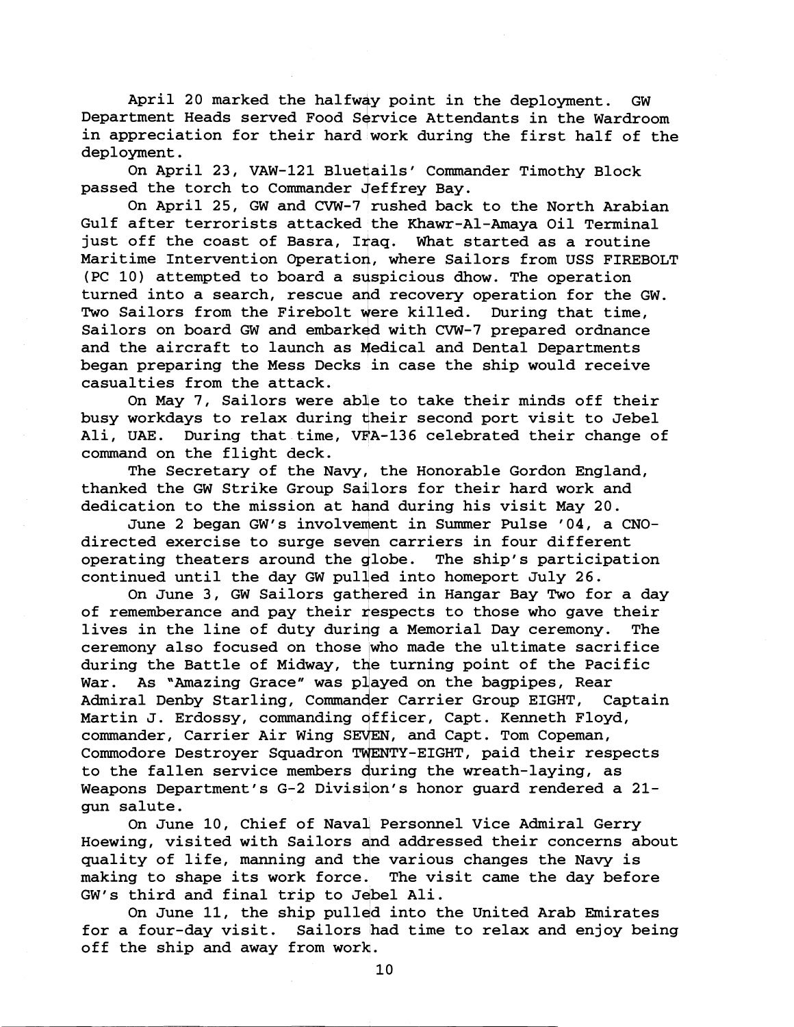April 20 marked the halfway point in the deployment. GW Department Heads served Food Service Attendants in the Wardroom in appreciation for their hard work during the first half of the<br>deployment.<br>On April 23, VAW-121 Bluetails' Commander Timothy Block<br>passed the torch to Commander Jeffrey Bay.<br>On April 25, GW and CVW-7 rushed back to the N deployment.

On April 23, VAW-121 Bluetails' Commander Timothy Block

On April 25, GW and CVW-7 rushed back to the North Arabian Gulf after terrorists attacked the Khawr-Al-Amaya Oil Terminal just off the coast of Basra, Iraq. What started as a routine Maritime Intervention Operation, where Sailors from USS FIREBOLT (PC 10) attempted to board a syspicious dhow. The operation turned into a search, rescue and recovery operation for the GW. Two Sailors from the Firebolt were killed. During that time, Sailors on board GW and embarked with CVW-7 prepared ordnance and the aircraft to launch as Medical and Dental Departments began preparing the Mess Decks in case the ship would receive casualties from the attack.

On May 7, Sailors were able to take their minds off their busy workdays to relax during their second port visit to Jebel Ali, UAE. During that time, VFA-136 celebrated their change of command on the flight deck.

The Secretary of the Navy, the Honorable Gordon England, thanked the GW Strike Group SaJlors for their hard work and dedication to the mission at hand during his visit May 20.

June 2 began GW's involvement in Summer Pulse '04, a CNOdirected exercise to surge seven carriers in four different operating theaters around the globe. The ship's participation continued until the day GW pulled into homeport July 26.

On June 3, GW Sailors gathered in Hangar Bay Two for a day of rememberance and pay their respects to those who gave their lives in the line of duty during a Memorial Day ceremony. The ceremony also focused on those who made the ultimate sacrifice during the Battle of Midway, the turning point of the Pacific War. As "Amazing Grace" was played on the bagpipes, Rear Admiral Denby Starling, commander Carrier Group EIGHT, Captain Martin J. Erdossy, commanding officer, Capt. Kenneth Floyd, commander, Carrier Air Wing SEVEN, and Capt. Tom Copeman, Martin J. Erdossy, Commanding Officer, Capt. Renneth Floyd,<br>Commander, Carrier Air Wing SEVEN, and Capt. Tom Copeman,<br>Commodore Destroyer Squadron TWENTY-EIGHT, paid their respe<br>to the fallen service members during the wre Commodore Destroyer Squadron TWENTY-EIGHT, paid their respects to the fallen service members during the wreath-laying, as Weapons Department's G-2 Division's honor guard rendered a 21gun salute.

On June 10, Chief of Naval Personnel Vice Admiral Gerry Hoewing, visited with Sailors and addressed their concerns about quality of life, manning and the various changes the Navy is making to shape its work force. The visit came the day before GW's third and final trip to Jebel Ali.

On June 11, the ship pulled into the United Arab Emirates for a four-day visit. Sailors had time to relax and enjoy being off the ship and away from work.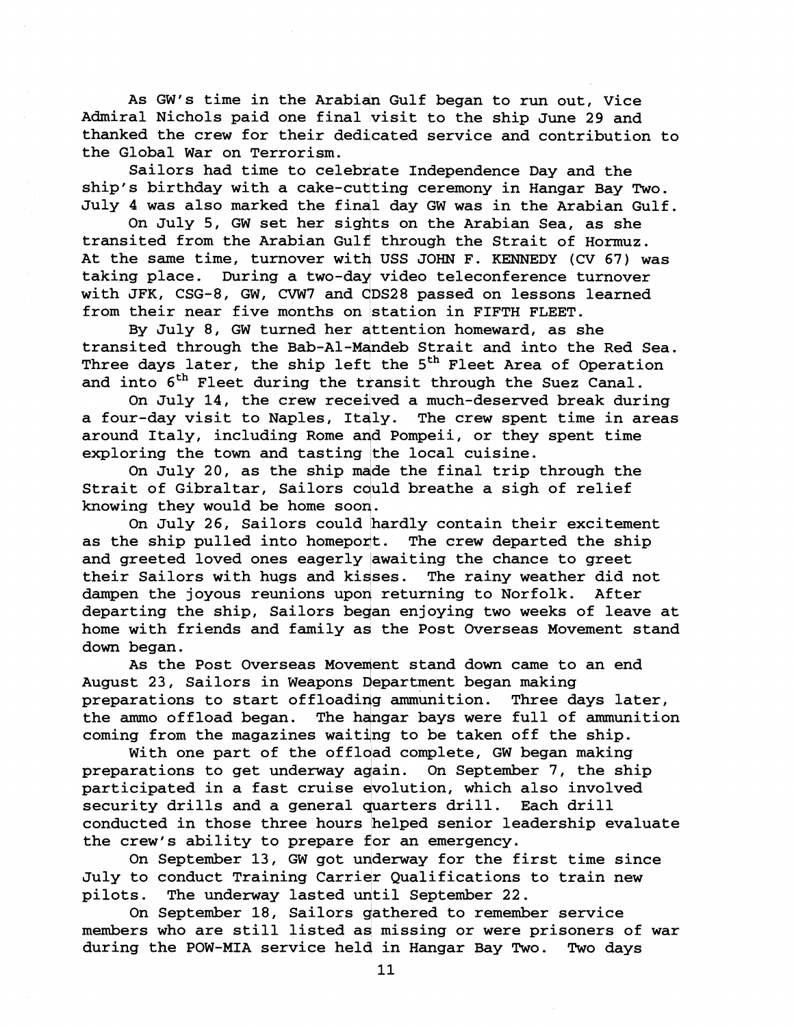As GW's time in the Arabian Gulf began to run out, Vice Admiral Nichols paid one final visit to the ship June 29 and thanked the crew for their dedicated service and contribution to the Global War on Terrorism.

Sailors had time to celebrate Independence Day and the ship's birthday with a cake-cutting ceremony in Hangar Bay Two. July 4 was also marked the final day GW was in the Arabian Gulf.

On July 5, GW set her sights on the Arabian Sea, as she transited from the Arabian Gulf through the Strait of Hormuz. At the same time, turnover with USS JOHN F. KENNEDY (CV 67) was taking place. During a two-day video teleconference turnover with JFK, CSG-8, GW, CVW7 and CDS28 passed on lessons learned from their near five months on station in FIFTH FLEET.

By July 8, GW turned her qttention homeward, as she transited through the Bab-Al-Mandeb Strait and into the Red Sea. Three days later, the ship left the 5<sup>th</sup> Fleet Area of Operation and into  $6<sup>th</sup>$  Fleet during the transit through the Suez Canal.

On July 14, the crew received a much-deserved break during a four-day visit to Naples, Italy. The crew spent time in areas around Italy, including Rome and Pompeii, or they spent time exploring the town and tasting the local cuisine.

On July 20, as the ship made the final trip through the Strait of Gibraltar, Sailors could breathe a sigh of relief knowing they would be home soon.

On July 26, Sailors could hardly contain their excitement as the ship pulled into homeport. The crew departed the ship and greeted loved ones eagerly awaiting the chance to greet their Sailors with hugs and kisses. The rainy weather did not dampen the joyous reunions upon returning to Norfolk. After departing the ship, Sailors bedan enjoying two weeks of leave at home with friends and family aa the Post Overseas Movement stand down began.

As the Post Overseas Movement stand down came to an end August 23, Sailors in Weapons Department began making preparations to start offloading ammunition. Three days later, the ammo offload began. The hangar bays were full of ammunition coming from the magazines waiting to be taken off the ship.

With one part of the offload complete, GW began making preparations to get underway again. On September 7, the ship participated in a fast cruise evolution, which also involved security drills and a general quarters drill. Each drill conducted in those three hours helped senior leadership evaluate the crew's ability to prepare for an emergency.

On September 13, GW got udderway for the first time since July to conduct Training Carrier Qualifications to train new pilots. The underway lasted until September 22.

On September 18, Sailors qathered to remember service members who are still listed as missing or were prisoners of war during the POW-MIA service held in Hangar Bay Two. Two days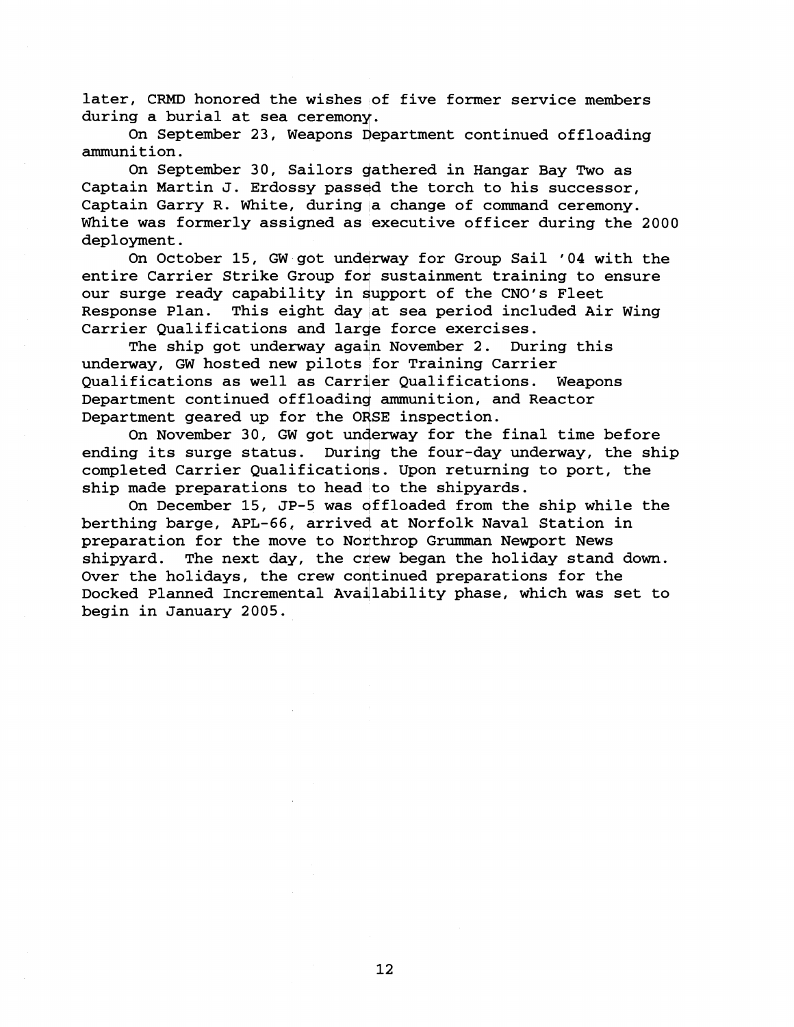later, CRMD honored the wishes of five former service members during a burial at sea ceremony.

On September 23, Weapons Department continued offloading ammunition.

On September 30, Sailors gathered in Hangar Bay Two as Captain Martin J. Erdossy passed the torch to his successor, Captain Garry R. White, during a change of command ceremony. White was formerly assigned as executive officer during the 2000 deployment.

On October 15, GW got underway for Group Sail '04 with the entire Carrier Strike Group for sustainment training to ensure our surge ready capability in support of the CNO's Fleet Response Plan. This eight day at sea period included Air Wing Carrier Qualifications and large force exercises.<br>The ship got underway again November 2. During this

underway, GW hosted new pilots for Training Carrier Oualifications as well as Carrier Oualifications. Weapons Department continued offloading ammunition, and Reactor Department geared up for the ORSE inspection.

On November 30, GW got underway for the final time before ending its surge status. During the four-day underway, the ship completed Carrier Qualifications. Upon returning to port, the ship made preparations to head to the shipyards.

On December 15, JP-5 was qffloaded from the ship while the berthing barge, APL-66, arrived at Norfolk Naval Station in preparation for the move to Northrop Grumman Newport News shipyard. The next day, the crew began the holiday stand down.<br>Over the holidays, the crew continued preparations for the Docked Planned Incremental Availability phase, which was set to begin in January 2005.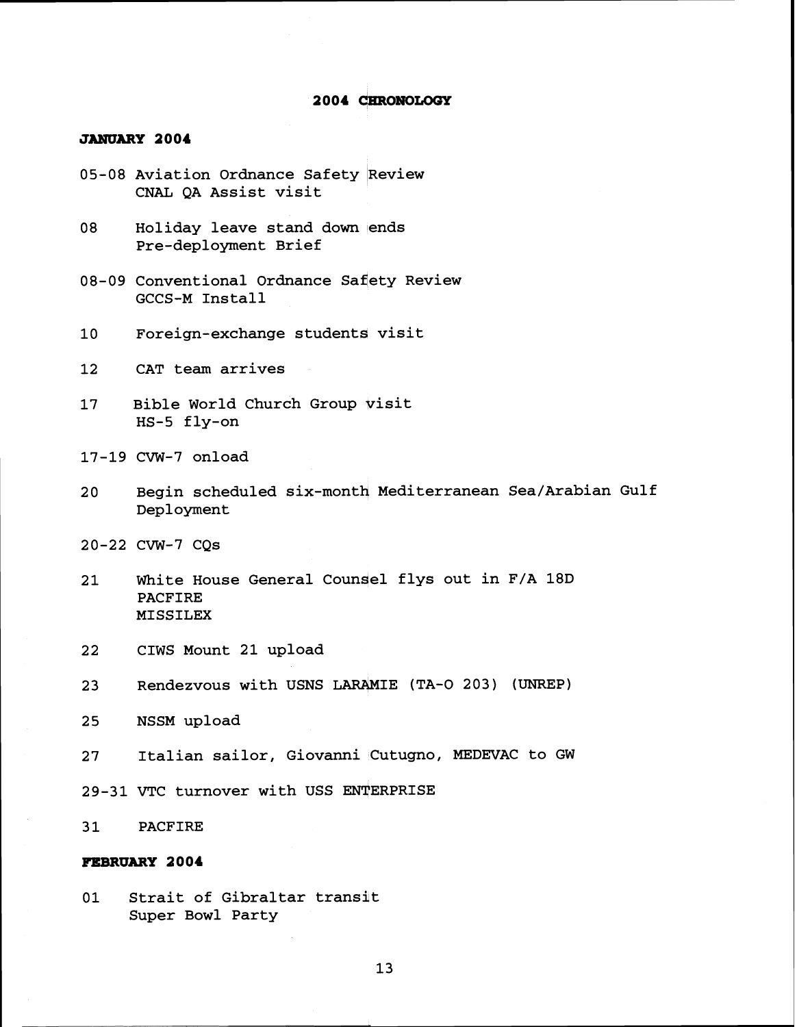#### 2004 CHRONOLOGY

## **JANUARY 2004**

- 05-08 Aviation Ordnance Safety Review CNAL QA Assist visit
- 08 Holiday leave stand down ends Pre-deployment Brief
- 08-09 Conventional Ordnance Safety Review GCCS-M Install
- 10 Foreign-exchange students visit
- 12 CAT team arrives
- 17 Bible World Church Group visit HS-5 fly-on
- 17-19 CVW-7 onload
- 20 Begin scheduled six-month Mediterranean Sea/Arabian Gulf Deployment
- 20-22 CVW-7 CQs
- 21 White House General Counsel flys out in F/A 18D PACFIRE MISSILEX
- 22 CIWS Mount 21 upload
- 23 Rendezvous with USNS LARAMIE (TA-0 203) (UNREP)
- 25 NSSM upload
- 27 Italian sailor, Giovanni Cutugno, MEDEVAC to GW
- 29-31 VTC turnover with USS ENTERPRISE
- 31 PACFIRE

## **FEBRUARY 2004**

01 Strait of Gibraltar transit Super Bowl Party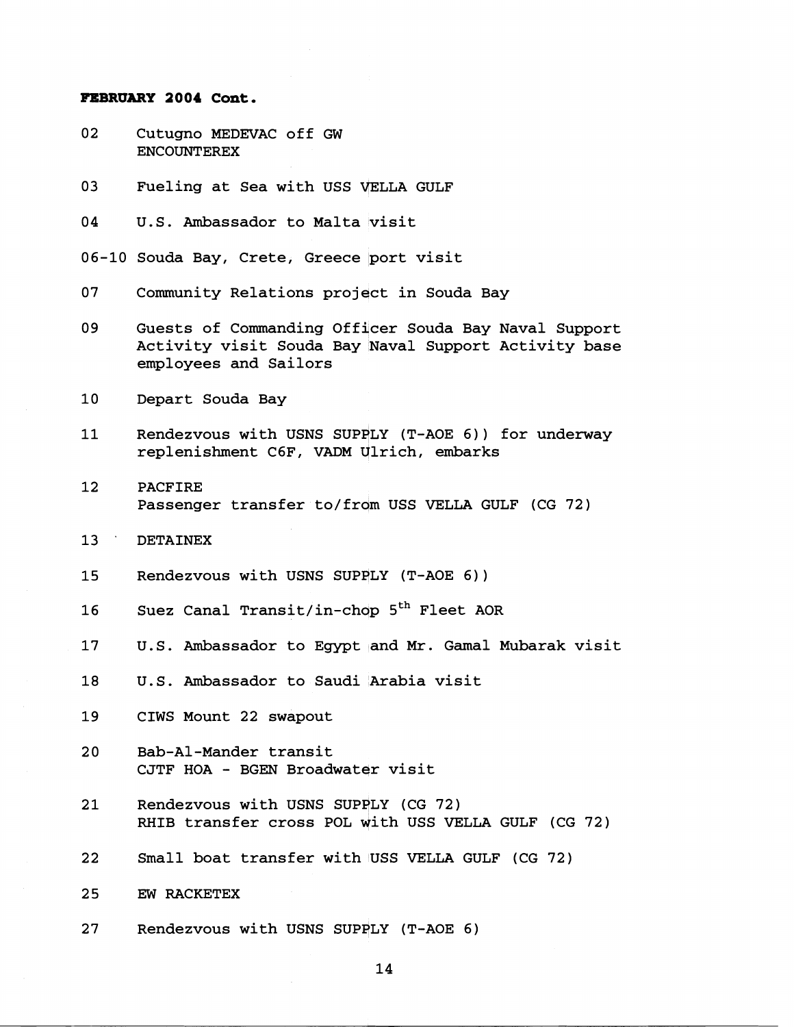#### **FEBRUARY 2004 Cont.**

- 02 Cutugno MEDEVAC off GW **ENCOUNTEREX**
- 03 Fueling at Sea with USS VELLA GULF
- 04 U.S. Ambassador to Malta visit

06-10 Souda Bay, Crete, Greece port visit

- 07 Community Relations project in Souda Bay
- 09 Guests of Commanding Officer Souda Bay Naval Support Activity visit Souda Bay Naval Support Activity base employees and Sailors
- 10 Depart Souda Bay
- 11 Rendezvous with USNS SUPPLY (T-AOE 6)) for underway replenishment C6F, VADM Ulrich, embarks
- 12 PACFIRE Passenger transfer to/from USS VELLA GULF (CG 72)
- 13 ' DETAINEX
- 15 Rendezvous with USNS SUPPLY (T-AOE 6))
- 16 Suez Canal Transit/in-chop 5<sup>th</sup> Fleet AOR
- 17 U.S. Ambassador to Egypt and Mr. Gamal Mubarak visit
- 18 U.S. Ambassador to Saudi Arabia visit
- 19 CIWS Mount 22 swapout
- 20 Bab-Al-Mander transit CJTF HOA - BGEN Broadwater visit
- 21 Rendezvous with USNS SUPPLY (CG 72) RHIB transfer cross POL with USS VELLA GULF (CG 72)
- 22 Small boat transfer with USS VELLA GULF (CG 72)
- 25 EW RACKETEX
- 27 Rendezvous with USNS SUPPLY (T-AOE 6)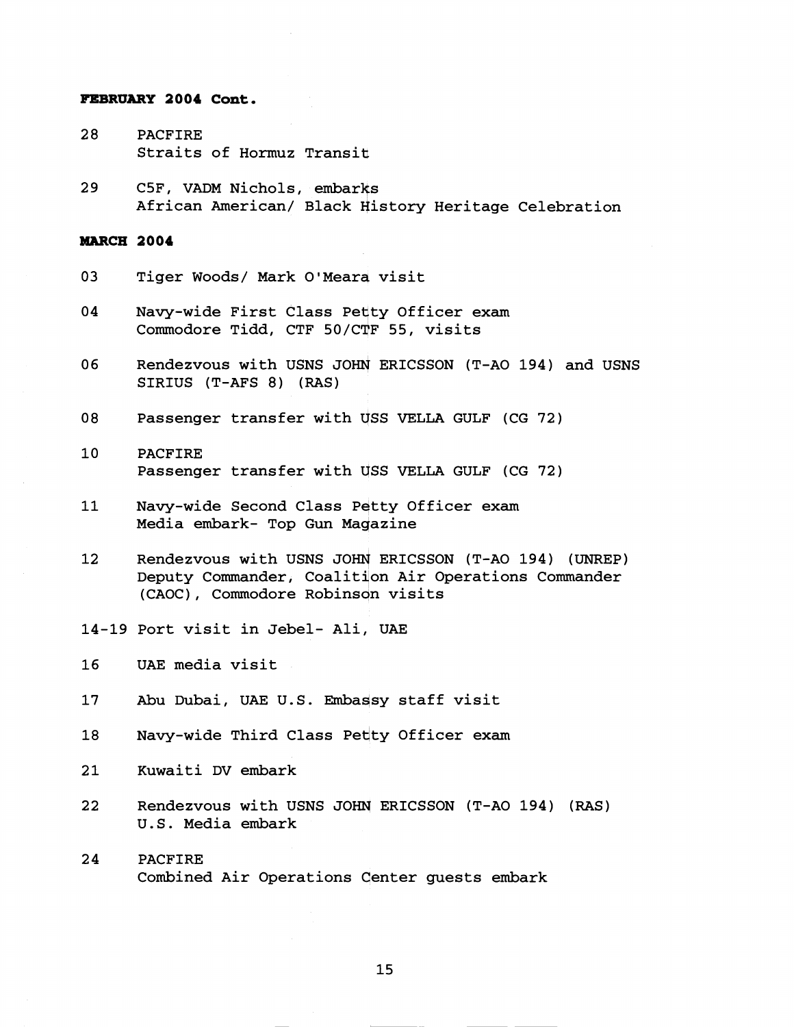#### **FEBRUARY 2004 Cont.**

- 28 PACFIRE Straits of Hormuz Transit
- 29 C5F, VADM Nichols, embarks African American/ Black History Heritage Celebration

#### **MARCH 2004**

- 03 Tiger Woods/ Mark O'Meara visit
- 04 Navy-wide First Class Petty Officer exam Commodore Tidd, CTF 50/CTF 55, visits
- 06 Rendezvous with USNS JOHN ERICSSON (T-A0 194) and USNS SIRIUS (T-AFS 8) (RAS)
- 08 Passenger transfer with USS VELLA GULF (CG 72)
- 10 PACFIRE Passenger transfer with USS VELLA GULF (CG 72)
- 11 Navy-wide Second Class Petty Officer exam Media embark- Top Gun Magazine
- 12 Rendezvous with USNS JOHN ERICSSON (T-A0 194) (UNREP) Deputy Commander, Coalition Air Operations Commander (CAOC), Commodore Robinson visits
- 14-19 Port visit in Jebel- Ali, UAE
- 16 UAE media visit
- 17 Abu Dubai, UAE U.S. Embassy staff visit
- 18 Navy-wide Third Class Petty Officer exam
- 21 Kuwaiti DV embark
- 22 Rendezvous with USNS JOHN ERICSSON (T-A0 194) (RAS) U.S. Media embark
- 24 PACFIRE Combined Air Operations Center guests embark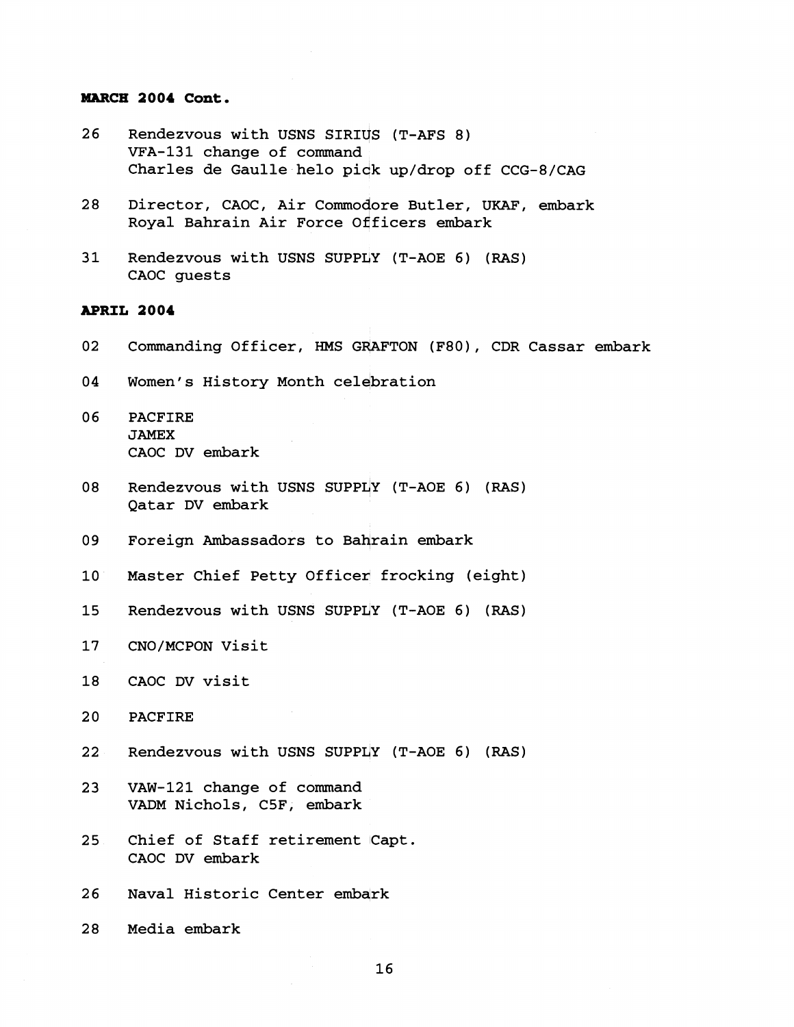## **MARCH 2004 Cont.**

- 26 Rendezvous with USNS SIRIUS (T-AFS 8) VFA-131 change of command Charles de Gaulle helo pick up/drop off CCG-8/CAG
- 28 Director, CAOC, Air commodore Butler, UKAF, embark Royal Bahrain Air Force Officers embark
- 31 Rendezvous with USNS SUPPLY (T-AOE 6) (RAS) CAOC guests

## **APRIL 2004**

- 02 Commanding Officer, HMS GRAFTON (F80), CDR Cassar embark
- 04 Women's History Month celebration
- 06 PACFIRE JAMEX CAOC DV embark
- 08 Rendezvous with USNS SUPPLY (T-AOE 6) (RAS) Qatar DV embark
- 09 Foreign Ambassadors to Bahrain embark
- 10 Master Chief Petty Officer frocking (eight)
- 15 Rendezvous with USNS SUPPUY (T-AOE 6) (RAS)
- 17 CNO/MCPON Visit
- 18 CAOC DV visit
- 20 PACFIRE
- 22 Rendezvous with USNS SUPPUY (T-AOE 6) (RAS)
- 23 VAW-121 change of command VADM Nichols, CSF, embark
- 25 Chief of Staff retirement Capt. CAOC DV embark
- 26 Naval Historic Center embark
- 28 Media embark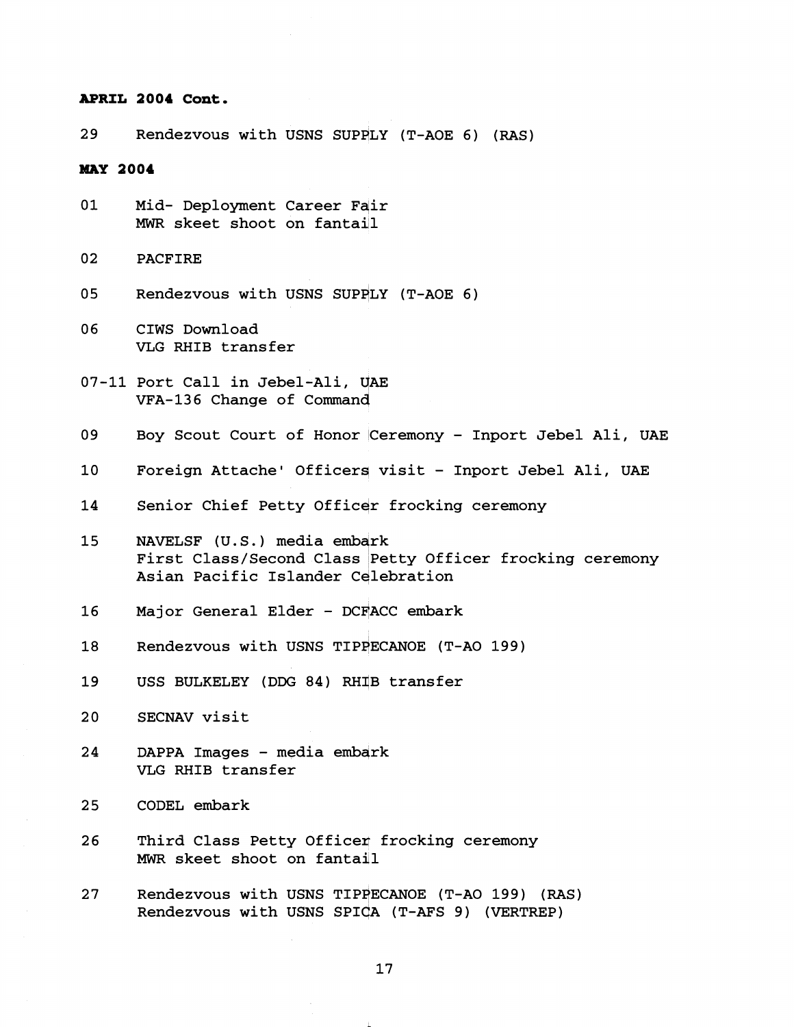#### **APRIL 2004 Cont.**

29 Rendezvous with USNS SUPPLY (T-AOE 6) (RAS)

## **MAY 2004**

- 01 Mid- Deployment Career Fair **MWR** skeet shoot on fantail
- 02 PACFIRE
- 05 Rendezvous with USNS SUPPLY (T-AOE 6)
- 06 CIWS Download VLG RHIB transfer
- 07-11 Port Call in Jebel-Ali, **UAE**  VFA-136 Change of Command
- 09 Boy Scout Court of Honor Ceremony Inport Jebel Ali, UAE
- 10 Foreign Attache' Officers visit Inport Jebel Ali, UAE
- 14 Senior Chief Petty Officer frocking ceremony
- 15 NAVELSF (U.S.) media embark First Class/Second Class Petty Officer frocking ceremony Asian Pacific Islander Celebration
- 16 Major General Elder DCFACC embark
- 18 Rendezvous with USNS TIPPECANOE (T-A0 199)
- 19 USS BULKELEY **(DDG** 84) RHIB transfer
- 20 SECNAV visit
- 24 DAPPA Images media embark VLG RHIB transfer
- 25 CODEL embark
- 26 Third Class Petty Officer frocking ceremony *MWR* skeet shoot on fantail
- 27 Rendezvous with USNS TIPPECANOE (T-A0 199) (RAS) Rendezvous with USNS SPICA (T-AFS 9) (VERTREP)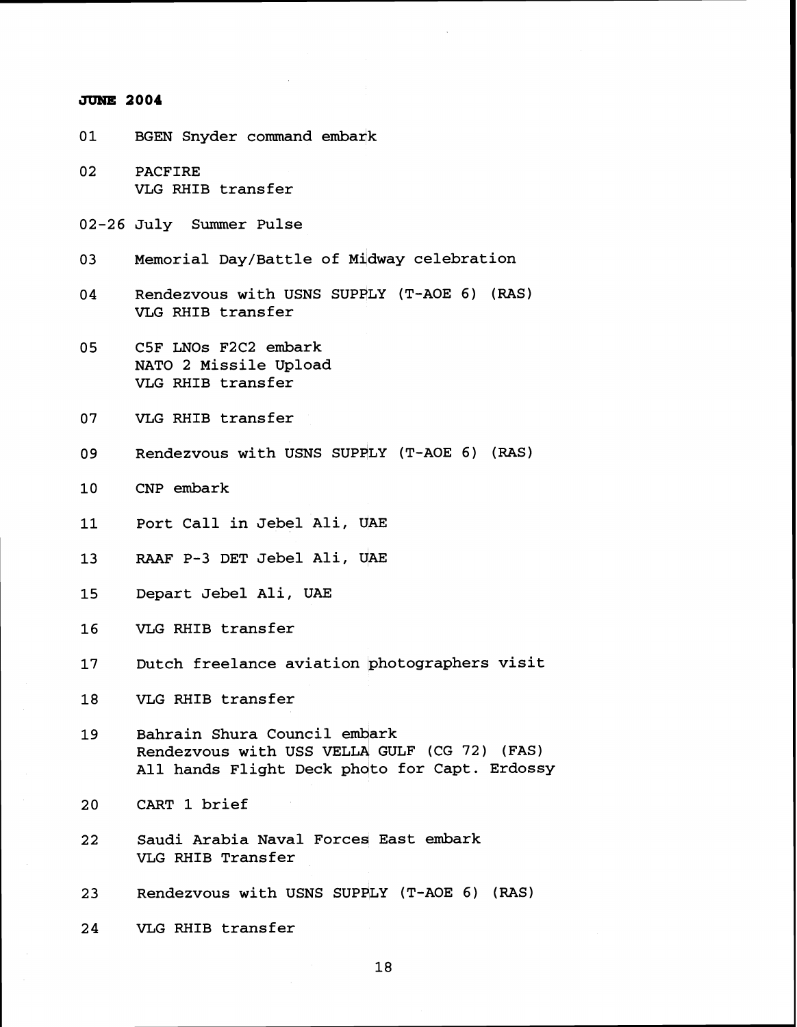#### **JUNE 2004**

- 01 BGEN Snyder command embark
- 02 PACFIRE VLG RHIB transfer
- 02-26 July Summer Pulse
- 03 Memorial Day/Battle of Midway celebration
- 04 Rendezvous with USNS SUPPLY (T-AOE 6) (RAS) VLG RHIB transfer
- 05 C5F LNOs F2C2 embark NATO 2 Missile Upload VLG RHIB transfer
- 07 VLG RHIB transfer
- 09 Rendezvous with USNS SUPPLY (T-AOE 6) (RAS)
- 10 CNP embark
- 11 Port Call in Jebel Ali, UAE
- 13 RAAF P-3 DET Jebel Ali, UAE
- 15 Depart Jebel Ali, UAE
- $16$ VLG RHIB transfer
- Dutch freelance aviation photographers visit 17
- 18 VLG RHIB transfer
- Bahrain Shura Council embark 19 Rendezvous with USS **VELLA** GULF (CG 72) (FAS) All hands Flight Deck photo for Capt. Erdossy
- CART 1 brief 20
- 22 Saudi Arabia Naval Forces East embark VLG RHIB Transfer
- Rendezvous with USNS SUPPLY (T-AOE 6) (RAS) 23
- VLG RHIB transfer  $24$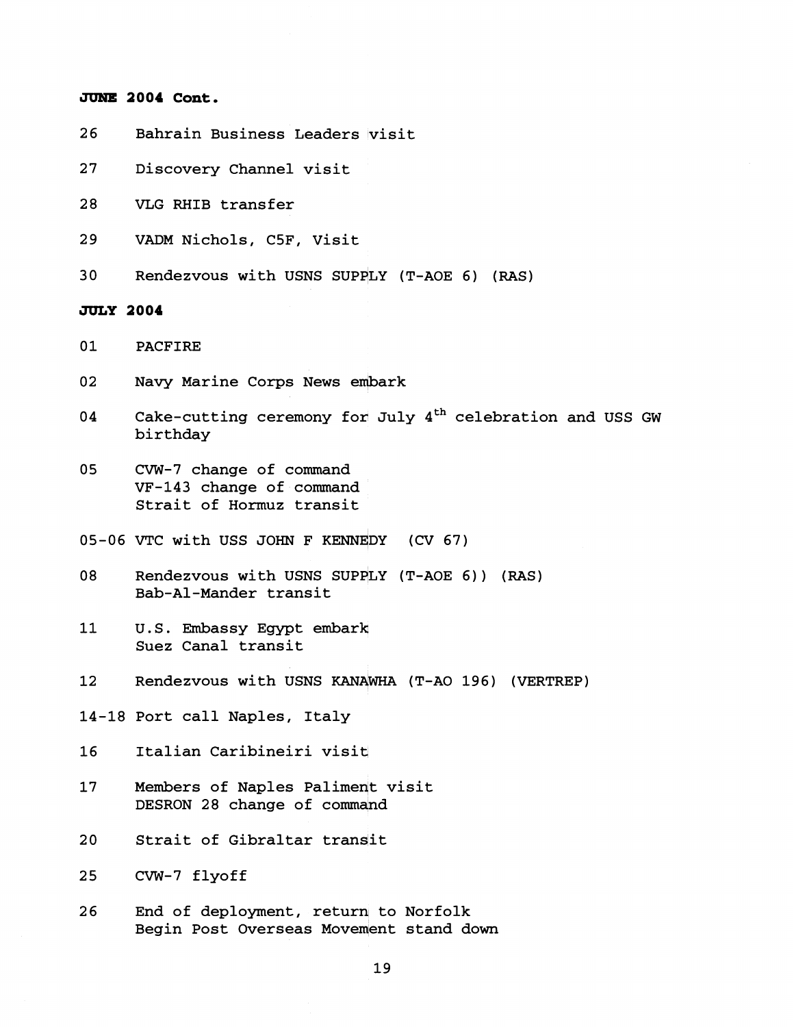## **JUNE 2004 Cont.**

- 26 Bahrain Business Leaders visit
- 27 Discovery Channel visit
- 28 VLG RHIB transfer
- 29 VADM Nichols, C5F, Visit
- 30 Rendezvous with USNS SUPPLY (T-AOE 6) (RAS)

## **JULY 2004**

- 01 PACFIRE
- 02 Navy Marine Corps News embark
- 04 Cake-cutting ceremony for July **4th** celebration and USS **GW**  birthday
- 05 CVW-7 change of command VF-143 change of command Strait of Homuz transit
- 05-06 VTC with USS JOHN F KENNEDY (CV 67)
- 08 Rendezvous with USNS SUPPLY (T-AOE 6)) (RAS) Bab-Al-Mander transit
- 11 U.S. Embassy Egypt embarh Suez Canal transit
- 12 Rendezvous with USNS KANAWHA (T-AO 196) (VERTREP)
- 14-18 Port call Naples, Italy
- 16 Italian Caribineiri visit
- 17 Members of Naples Paliment visit DESRON 28 change of command
- 20 Strait of Gibraltar transit
- 25 CVW-7 flyoff
- 26 End of deployment, return to Norfolk Begin Post Overseas Movement stand down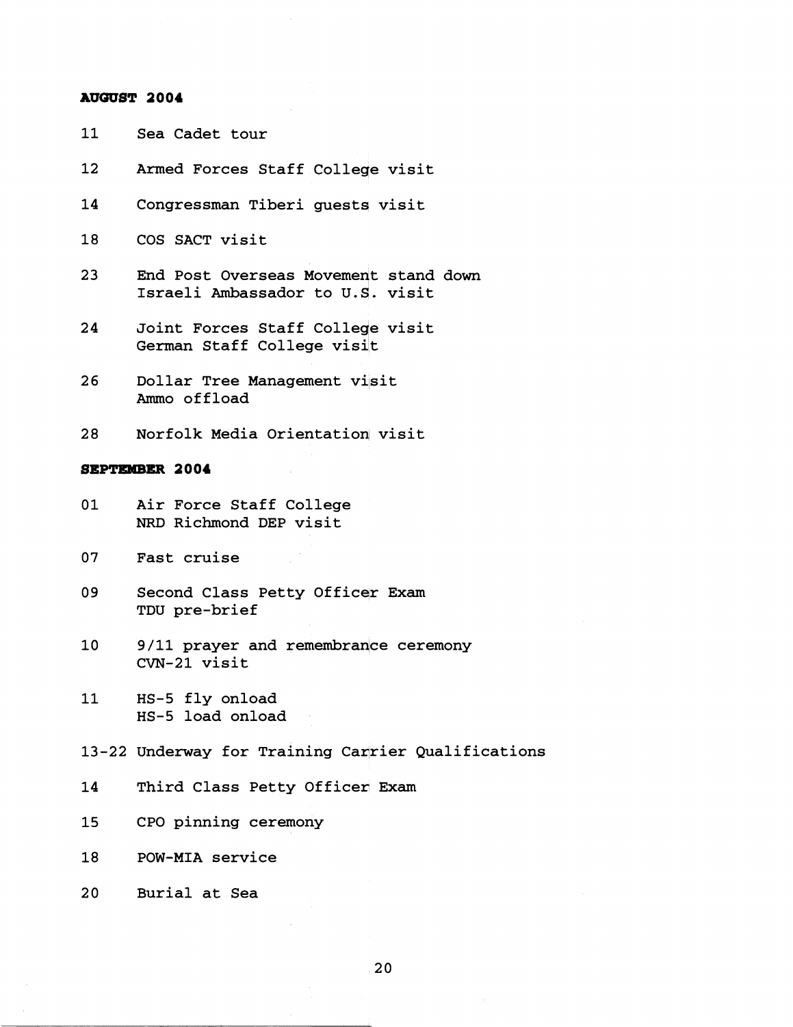## **AUWST 2004**

- 11 Sea Cadet tour
- 12 Armed Forces Staff College visit
- 14 Congressman Tiberi guests visit
- 18 COS SACT visit
- 23 End Post Overseas Movement stand down Israeli Ambassador to U.S. visit
- 24 Joint Forces Staff College visit German Staff College visit
- 26 Dollar Tree Management visit Ammo offload
- 28 Norfolk Media Orientation visit

#### **SEPTEMBER 2004**

- 01 Air Force Staff College NRD Richmond DEP visit
- 07 Fast cruise
- 09 Second Class Petty Officer Exam TDU pre-brief
- 10 9/11 prayer and remembrance ceremony CVN-21 visit
- 11 HS-5 fly onload HS-5 load onload
- 13-22 Underway for Training Carrier Qualifications
- 14 Third Class Petty Officer Exam
- 15 CPO pinning ceremony
- 18 POW-MIA service
- 20 Burial at Sea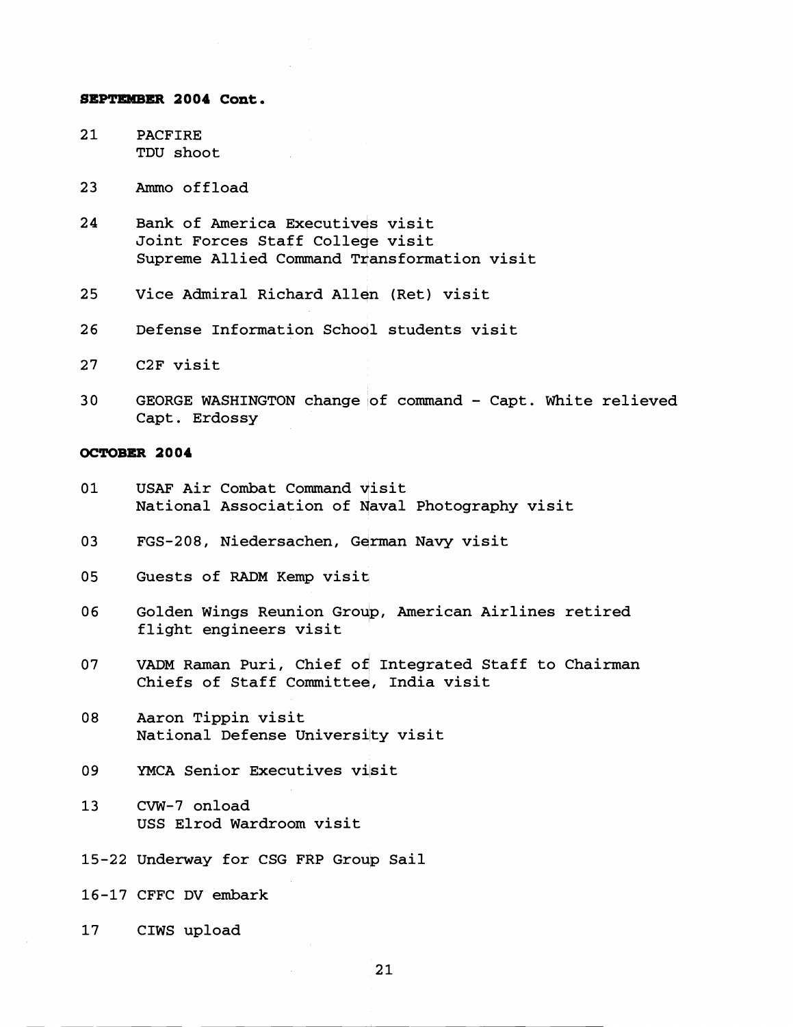#### **SEPTEMBER 2004 Coat.**

- 21 PACFIRE TDU shoot
- 23 Ammo offload
- 24 Bank of America Executives visit Joint Forces Staff College visit Supreme Allied Command Transformation visit
- 25 Vice Admiral Richard Allen (Ret) visit
- 26 Defense Information School students visit
- 27 C2F visit
- 30 GEORGE WASHINGTON change of command Capt. White relieved Capt. Erdossy

## **OCTOBER 2004**

- 01 USAF Air Combat Command visit National Association of Naval Photography visit
- 03 FGS-208, Niedersachen, German Navy visit
- 05 Guests of RADM Kemp visit
- 06 Golden Wings Reunion Group, American Airlines retired flight engineers visit
- 07 VADM Raman Puri, Chief of Integrated Staff to Chairman Chiefs of Staff Committeq, India visit
- 08 Aaron Tippin visit National Defense Universilty visit
- 09 YMCA Senior Executives visit
- 13 CVW-7 onload USS Elrod Wardroom visit
- 15-22 Underway for CSG FRP Group Sail
- 16-17 CFFC DV embark
- 17 CIWS upload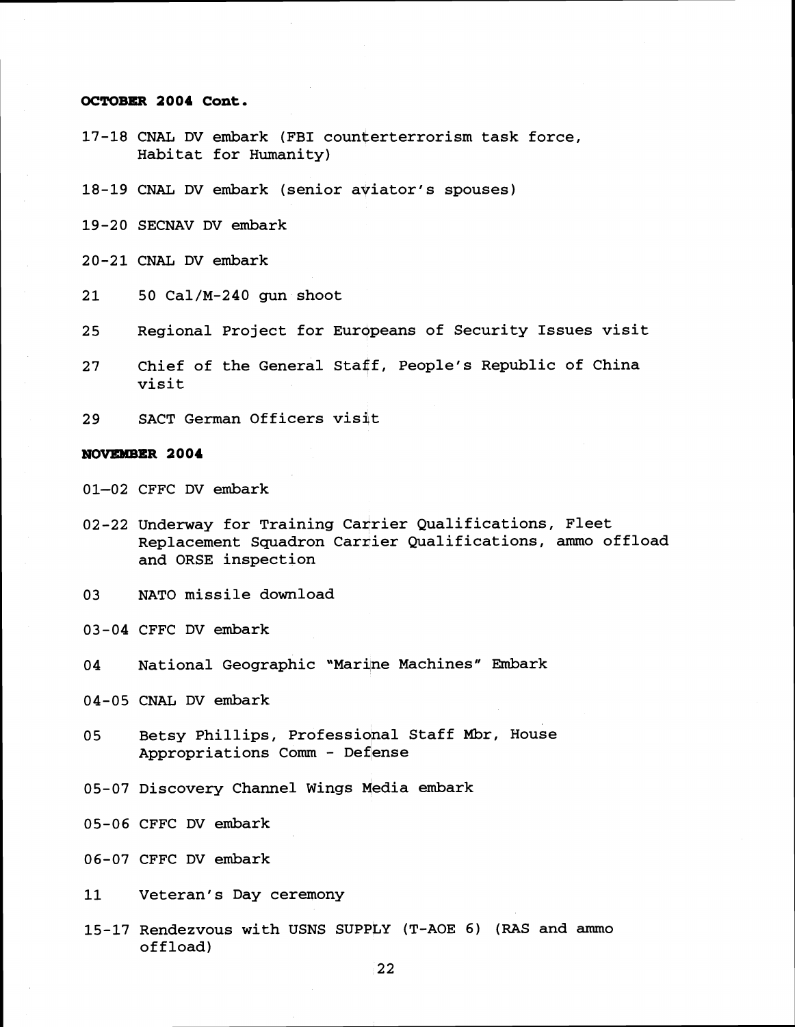#### **OCTOBER 2004 Cont.**

- 17-18 CNAL DV embark (FBI counterterrorism task force, Habitat for Humanity)
- **18-19** CNAL DV embark (senior ayiator's spouses)
- **19-20** SECNAV DV embark
- **20-21** CNAL DV embark
- **21 50** Cal/M-240 gun shoot
- **25** Regional Project for Eurqpeans of Security Issues visit
- 27 Chief of the General Staff, People's Republic of China visit
- **29** SACT German Officers visit

## **NOVEMBER 2004**

**01-02** CFFC DV embark

- 02-22 Underway for Training Carrier Qualifications, Fleet Replacement Squadron Carrier Qualifications, ammo offload and ORSE inspection
- **03** NATO missile download
- **03-04** CFFC DV embark
- 04 National Geographic "Marine Machines" Embark

**04-05** CNAL DV embark

- **05** Betsy Phillips, Professiqnal Staff Mbr, House Appropriations Comm - Defense
- 05-07 Discovery Channel Wings Media embark
- **05-06** CFFC DV embark
- **06-07** CFFC DV embark
- **11** Veteran's Day ceremony
- **15-17** Rendezvous with USNS SUPPLY (T-AOE 6) (RAS and ammo of fload)